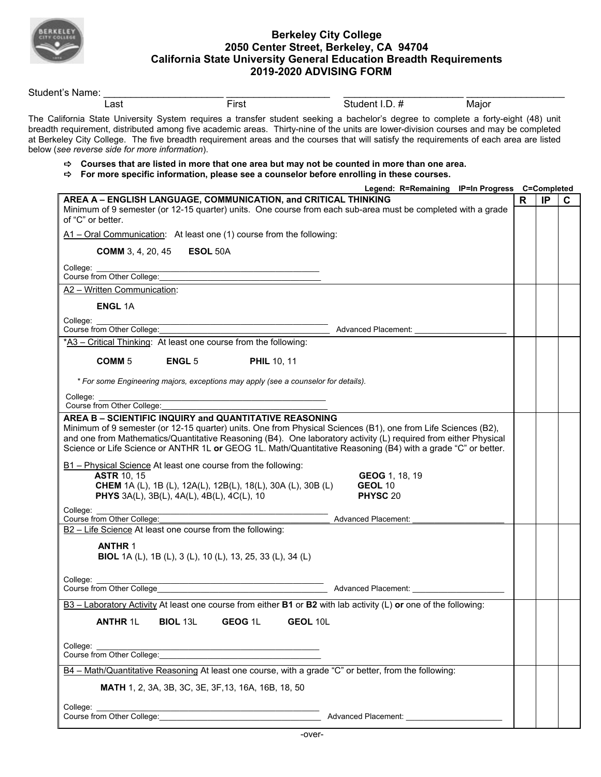

## **Berkeley City College 2050 Center Street, Berkeley, CA 94704 California State University General Education Breadth Requirements 2019-2020 ADVISING FORM**

| Student's Name:                                                                                                                                                                                                                                                                                                                                                                                                                                                         |                                                   |                                                                                                                       |          |                            |                                                |    |    |
|-------------------------------------------------------------------------------------------------------------------------------------------------------------------------------------------------------------------------------------------------------------------------------------------------------------------------------------------------------------------------------------------------------------------------------------------------------------------------|---------------------------------------------------|-----------------------------------------------------------------------------------------------------------------------|----------|----------------------------|------------------------------------------------|----|----|
| Last                                                                                                                                                                                                                                                                                                                                                                                                                                                                    |                                                   | First                                                                                                                 |          | Student I.D. #             | Major                                          |    |    |
| The California State University System requires a transfer student seeking a bachelor's degree to complete a forty-eight (48) unit<br>breadth requirement, distributed among five academic areas. Thirty-nine of the units are lower-division courses and may be completed<br>at Berkeley City College. The five breadth requirement areas and the courses that will satisfy the requirements of each area are listed<br>below (see reverse side for more information). |                                                   |                                                                                                                       |          |                            |                                                |    |    |
| $\Rightarrow$ Courses that are listed in more that one area but may not be counted in more than one area.<br>$\Rightarrow$ For more specific information, please see a counselor before enrolling in these courses.                                                                                                                                                                                                                                                     |                                                   |                                                                                                                       |          |                            |                                                |    |    |
|                                                                                                                                                                                                                                                                                                                                                                                                                                                                         |                                                   |                                                                                                                       |          |                            | Legend: R=Remaining IP=In Progress C=Completed |    |    |
| AREA A - ENGLISH LANGUAGE, COMMUNICATION, and CRITICAL THINKING<br>Minimum of 9 semester (or 12-15 quarter) units. One course from each sub-area must be completed with a grade<br>of "C" or better.                                                                                                                                                                                                                                                                    |                                                   |                                                                                                                       |          |                            |                                                | R. | IP |
| A1 - Oral Communication: At least one (1) course from the following:                                                                                                                                                                                                                                                                                                                                                                                                    |                                                   |                                                                                                                       |          |                            |                                                |    |    |
| <b>COMM</b> 3, 4, 20, 45                                                                                                                                                                                                                                                                                                                                                                                                                                                | <b>ESOL 50A</b>                                   |                                                                                                                       |          |                            |                                                |    |    |
| College:<br>Course from Other College:                                                                                                                                                                                                                                                                                                                                                                                                                                  |                                                   |                                                                                                                       |          |                            |                                                |    |    |
| A2 - Written Communication:                                                                                                                                                                                                                                                                                                                                                                                                                                             |                                                   |                                                                                                                       |          |                            |                                                |    |    |
| <b>ENGL 1A</b>                                                                                                                                                                                                                                                                                                                                                                                                                                                          |                                                   |                                                                                                                       |          |                            |                                                |    |    |
| College:                                                                                                                                                                                                                                                                                                                                                                                                                                                                |                                                   |                                                                                                                       |          |                            |                                                |    |    |
| Course from Other College:                                                                                                                                                                                                                                                                                                                                                                                                                                              |                                                   |                                                                                                                       |          | Advanced Placement:        |                                                |    |    |
| *A3 - Critical Thinking: At least one course from the following:                                                                                                                                                                                                                                                                                                                                                                                                        |                                                   |                                                                                                                       |          |                            |                                                |    |    |
| COMM <sub>5</sub>                                                                                                                                                                                                                                                                                                                                                                                                                                                       | <b>ENGL 5</b>                                     | <b>PHIL 10, 11</b>                                                                                                    |          |                            |                                                |    |    |
|                                                                                                                                                                                                                                                                                                                                                                                                                                                                         |                                                   |                                                                                                                       |          |                            |                                                |    |    |
| * For some Engineering majors, exceptions may apply (see a counselor for details).                                                                                                                                                                                                                                                                                                                                                                                      |                                                   |                                                                                                                       |          |                            |                                                |    |    |
|                                                                                                                                                                                                                                                                                                                                                                                                                                                                         |                                                   |                                                                                                                       |          |                            |                                                |    |    |
| College:                                                                                                                                                                                                                                                                                                                                                                                                                                                                |                                                   |                                                                                                                       |          |                            |                                                |    |    |
| Course from Other College:                                                                                                                                                                                                                                                                                                                                                                                                                                              |                                                   |                                                                                                                       |          |                            |                                                |    |    |
|                                                                                                                                                                                                                                                                                                                                                                                                                                                                         |                                                   |                                                                                                                       |          |                            |                                                |    |    |
| AREA B - SCIENTIFIC INQUIRY and QUANTITATIVE REASONING                                                                                                                                                                                                                                                                                                                                                                                                                  |                                                   |                                                                                                                       |          |                            |                                                |    |    |
| Minimum of 9 semester (or 12-15 quarter) units. One from Physical Sciences (B1), one from Life Sciences (B2),                                                                                                                                                                                                                                                                                                                                                           |                                                   |                                                                                                                       |          |                            |                                                |    |    |
| and one from Mathematics/Quantitative Reasoning (B4). One laboratory activity (L) required from either Physical                                                                                                                                                                                                                                                                                                                                                         |                                                   |                                                                                                                       |          |                            |                                                |    |    |
| Science or Life Science or ANTHR 1L or GEOG 1L. Math/Quantitative Reasoning (B4) with a grade "C" or better.                                                                                                                                                                                                                                                                                                                                                            |                                                   |                                                                                                                       |          |                            |                                                |    |    |
| B1 - Physical Science At least one course from the following:                                                                                                                                                                                                                                                                                                                                                                                                           |                                                   |                                                                                                                       |          |                            |                                                |    |    |
| <b>ASTR 10, 15</b>                                                                                                                                                                                                                                                                                                                                                                                                                                                      |                                                   |                                                                                                                       |          | GEOG 1, 18, 19             |                                                |    |    |
|                                                                                                                                                                                                                                                                                                                                                                                                                                                                         |                                                   | <b>CHEM</b> 1A (L), 1B (L), 12A(L), 12B(L), 18(L), 30A (L), 30B (L)                                                   |          | GEOL 10                    |                                                |    |    |
|                                                                                                                                                                                                                                                                                                                                                                                                                                                                         | <b>PHYS</b> 3A(L), 3B(L), 4A(L), 4B(L), 4C(L), 10 |                                                                                                                       |          | PHYSC 20                   |                                                |    |    |
|                                                                                                                                                                                                                                                                                                                                                                                                                                                                         |                                                   |                                                                                                                       |          |                            |                                                |    |    |
| College:<br>Course from Other College:                                                                                                                                                                                                                                                                                                                                                                                                                                  |                                                   |                                                                                                                       |          | <b>Advanced Placement:</b> |                                                |    |    |
| B2 - Life Science At least one course from the following:                                                                                                                                                                                                                                                                                                                                                                                                               |                                                   |                                                                                                                       |          |                            |                                                |    |    |
|                                                                                                                                                                                                                                                                                                                                                                                                                                                                         |                                                   |                                                                                                                       |          |                            |                                                |    |    |
| <b>ANTHR 1</b>                                                                                                                                                                                                                                                                                                                                                                                                                                                          |                                                   |                                                                                                                       |          |                            |                                                |    |    |
|                                                                                                                                                                                                                                                                                                                                                                                                                                                                         |                                                   | <b>BIOL</b> 1A (L), 1B (L), 3 (L), 10 (L), 13, 25, 33 (L), 34 (L)                                                     |          |                            |                                                |    |    |
| College:                                                                                                                                                                                                                                                                                                                                                                                                                                                                |                                                   |                                                                                                                       |          |                            |                                                |    |    |
|                                                                                                                                                                                                                                                                                                                                                                                                                                                                         |                                                   | <u> 1989 - Jan James James James James James James James James James James James James James James James James Ja</u> |          |                            |                                                |    |    |
| B3 - Laboratory Activity At least one course from either B1 or B2 with lab activity (L) or one of the following:                                                                                                                                                                                                                                                                                                                                                        |                                                   |                                                                                                                       |          |                            |                                                |    |    |
|                                                                                                                                                                                                                                                                                                                                                                                                                                                                         |                                                   |                                                                                                                       |          |                            |                                                |    |    |
| <b>ANTHR 1L</b>                                                                                                                                                                                                                                                                                                                                                                                                                                                         | <b>BIOL 13L</b>                                   | GEOG <sub>1L</sub>                                                                                                    | GEOL 10L |                            |                                                |    |    |
| College:                                                                                                                                                                                                                                                                                                                                                                                                                                                                |                                                   |                                                                                                                       |          |                            |                                                |    |    |
|                                                                                                                                                                                                                                                                                                                                                                                                                                                                         |                                                   |                                                                                                                       |          |                            |                                                |    |    |
| B4 - Math/Quantitative Reasoning At least one course, with a grade "C" or better, from the following:                                                                                                                                                                                                                                                                                                                                                                   |                                                   |                                                                                                                       |          |                            |                                                |    |    |
|                                                                                                                                                                                                                                                                                                                                                                                                                                                                         |                                                   |                                                                                                                       |          |                            |                                                |    |    |
|                                                                                                                                                                                                                                                                                                                                                                                                                                                                         |                                                   | <b>MATH</b> 1, 2, 3A, 3B, 3C, 3E, 3F, 13, 16A, 16B, 18, 50                                                            |          |                            |                                                |    |    |
| College:<br>Course from Other College: Manual Courses Advanced Placement: Manual Course from Other College: Manual Courses                                                                                                                                                                                                                                                                                                                                              |                                                   |                                                                                                                       |          |                            |                                                |    |    |